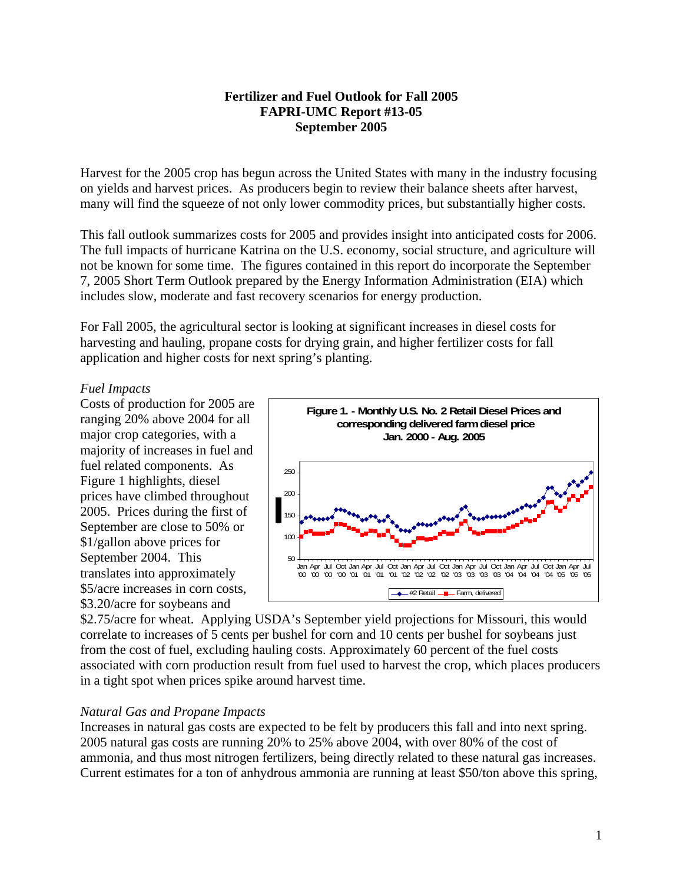# **Fertilizer and Fuel Outlook for Fall 2005 FAPRI-UMC Report #13-05 September 2005**

Harvest for the 2005 crop has begun across the United States with many in the industry focusing on yields and harvest prices. As producers begin to review their balance sheets after harvest, many will find the squeeze of not only lower commodity prices, but substantially higher costs.

This fall outlook summarizes costs for 2005 and provides insight into anticipated costs for 2006. The full impacts of hurricane Katrina on the U.S. economy, social structure, and agriculture will not be known for some time. The figures contained in this report do incorporate the September 7, 2005 Short Term Outlook prepared by the Energy Information Administration (EIA) which includes slow, moderate and fast recovery scenarios for energy production.

For Fall 2005, the agricultural sector is looking at significant increases in diesel costs for harvesting and hauling, propane costs for drying grain, and higher fertilizer costs for fall application and higher costs for next spring's planting.

## *Fuel Impacts*

Costs of production for 2005 a ranging 20% above 2004 for all major crop categories, with a majority of increases in fuel and fuel related components. As Figure 1 highlights, diesel prices have climbed throughout 2005. Prices during the first of September are close to 50% or \$1/gallon above prices for September 2004. This translates into approximately \$5/acre increases in corn costs, \$3.20/acre for soybeans and



\$2.75/acre for wheat. Applying USDA's September yield projections for Missouri, this would correlate to increases of 5 cents per bushel for corn and 10 cents per bushel for soybeans just from the cost of fuel, excluding hauling costs. Approximately 60 percent of the fuel costs associated with corn production result from fuel used to harvest the crop, which places producers in a tight spot when prices spike around harvest time.

## *Natural Gas and Propane Impacts*

Increases in natural gas costs are expected to be felt by producers this fall and into next spring. 2005 natural gas costs are running 20% to 25% above 2004, with over 80% of the cost of ammonia, and thus most nitrogen fertilizers, being directly related to these natural gas increases. Current estimates for a ton of anhydrous ammonia are running at least \$50/ton above this spring,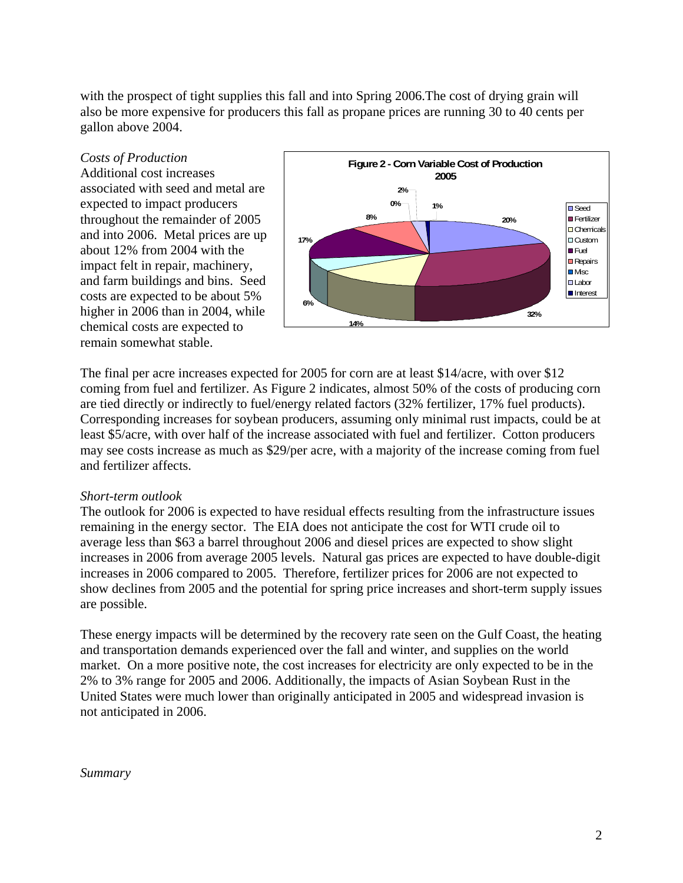with the prospect of tight supplies this fall and into Spring 2006. The cost of drying grain will also be more expensive for producers this fall as propane prices are running 30 to 40 cents per gallon above 2004.

Additional cost increases associated with seed and metal are expected to impact producers throughout the remainder of 2005 and into 2006. Metal prices are up about 12% from 2004 with the impact felt in repair, machinery, and farm buildings and bins. Seed costs are expected to be about 5% higher in 2006 than in 2004, while chemical costs are expected to remain somewhat stable.



The final per acre increases expected for 2005 for corn are at least \$14/acre, with over \$12 coming from fuel and fertilizer. As Figure 2 indicates, almost 50% of the costs of producing corn are tied directly or indirectly to fuel/energy related factors (32% fertilizer, 17% fuel products). Corresponding increases for soybean producers, assuming only minimal rust impacts, could be at least \$5/acre, with over half of the increase associated with fuel and fertilizer. Cotton producers may see costs increase as much as \$29/per acre, with a majority of the increase coming from fuel and fertilizer affects.

## *Short-term outlook*

The outlook for 2006 is expected to have residual effects resulting from the infrastructure issues remaining in the energy sector. The EIA does not anticipate the cost for WTI crude oil to average less than \$63 a barrel throughout 2006 and diesel prices are expected to show slight increases in 2006 from average 2005 levels. Natural gas prices are expected to have double-digit increases in 2006 compared to 2005. Therefore, fertilizer prices for 2006 are not expected to show declines from 2005 and the potential for spring price increases and short-term supply issues are possible.

These energy impacts will be determined by the recovery rate seen on the Gulf Coast, the heating and transportation demands experienced over the fall and winter, and supplies on the world market. On a more positive note, the cost increases for electricity are only expected to be in the 2% to 3% range for 2005 and 2006. Additionally, the impacts of Asian Soybean Rust in the United States were much lower than originally anticipated in 2005 and widespread invasion is not anticipated in 2006.

### *Summary*